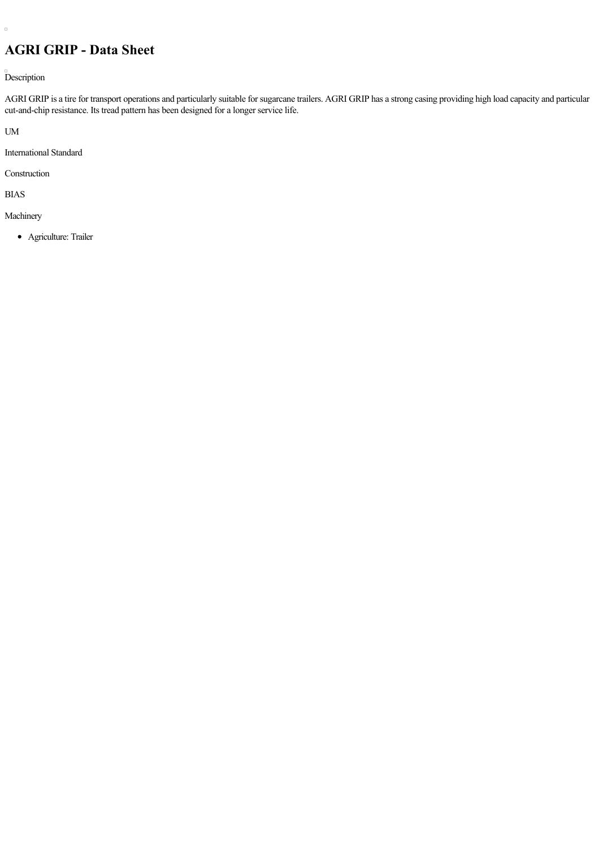## **AGRI GRIP - Data Sheet**

Description

AGRI GRIP is a tire for transport operations and particularly suitable for sugarcane trailers. AGRI GRIP has a strong casing providing high load capacity and particular cut-and-chip resistance. Its tread pattern has been designed for a longer service life.

UM

 $\Box$ 

International Standard

Construction

BIAS

Machinery

Agriculture: Trailer